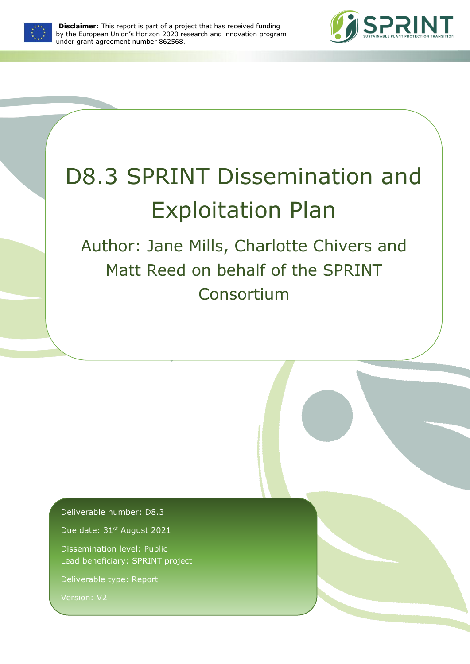

**Disclaimer**: This report is part of a project that has received funding by the European Union's Horizon 2020 research and innovation program under grant agreement number 862568.



# D8.3 SPRINT Dissemination and Exploitation Plan

Author: Jane Mills, Charlotte Chivers and Matt Reed on behalf of the SPRINT Consortium

Deliverable number: D8.3

Due date: 31st August 2021

Dissemination level: Public Lead beneficiary: SPRINT project

Deliverable type: Report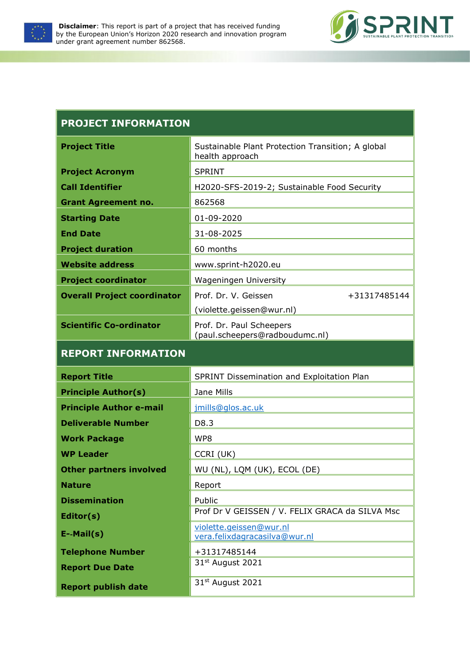



| <b>PROJECT INFORMATION</b>         |                                                                      |  |  |  |  |
|------------------------------------|----------------------------------------------------------------------|--|--|--|--|
| <b>Project Title</b>               | Sustainable Plant Protection Transition; A global<br>health approach |  |  |  |  |
| <b>Project Acronym</b>             | <b>SPRINT</b>                                                        |  |  |  |  |
| <b>Call Identifier</b>             | H2020-SFS-2019-2; Sustainable Food Security                          |  |  |  |  |
| <b>Grant Agreement no.</b>         | 862568                                                               |  |  |  |  |
| <b>Starting Date</b>               | 01-09-2020                                                           |  |  |  |  |
| <b>End Date</b>                    | 31-08-2025                                                           |  |  |  |  |
| <b>Project duration</b>            | 60 months                                                            |  |  |  |  |
| <b>Website address</b>             | www.sprint-h2020.eu                                                  |  |  |  |  |
| <b>Project coordinator</b>         | <b>Wageningen University</b>                                         |  |  |  |  |
| <b>Overall Project coordinator</b> | Prof. Dr. V. Geissen<br>+31317485144                                 |  |  |  |  |
|                                    | (violette.geissen@wur.nl)                                            |  |  |  |  |
| <b>Scientific Co-ordinator</b>     | Prof. Dr. Paul Scheepers<br>(paul.scheepers@radboudumc.nl)           |  |  |  |  |
| <b>REPORT INFORMATION</b>          |                                                                      |  |  |  |  |
| <b>Report Title</b>                | SPRINT Dissemination and Exploitation Plan                           |  |  |  |  |
| <b>Principle Author(s)</b>         | Jane Mills                                                           |  |  |  |  |
| <b>Principle Author e-mail</b>     | jmills@glos.ac.uk                                                    |  |  |  |  |
| <b>Deliverable Number</b>          | D8.3                                                                 |  |  |  |  |
| <b>Work Package</b>                | WP8                                                                  |  |  |  |  |
| <b>WP Leader</b>                   | CCRI (UK)                                                            |  |  |  |  |
| <b>Other partners involved</b>     | WU (NL), LQM (UK), ECOL (DE)                                         |  |  |  |  |
| <b>Nature</b>                      | Report                                                               |  |  |  |  |
| <b>Dissemination</b>               | Public                                                               |  |  |  |  |
| Editor(s)                          | Prof Dr V GEISSEN / V. FELIX GRACA da SILVA Msc                      |  |  |  |  |
| $E-Mail(s)$                        | violette.geissen@wur.nl<br>vera.felixdagracasilva@wur.nl             |  |  |  |  |
| <b>Telephone Number</b>            | +31317485144                                                         |  |  |  |  |
| <b>Report Due Date</b>             | 31 <sup>st</sup> August 2021                                         |  |  |  |  |
| <b>Report publish date</b>         | 31 <sup>st</sup> August 2021                                         |  |  |  |  |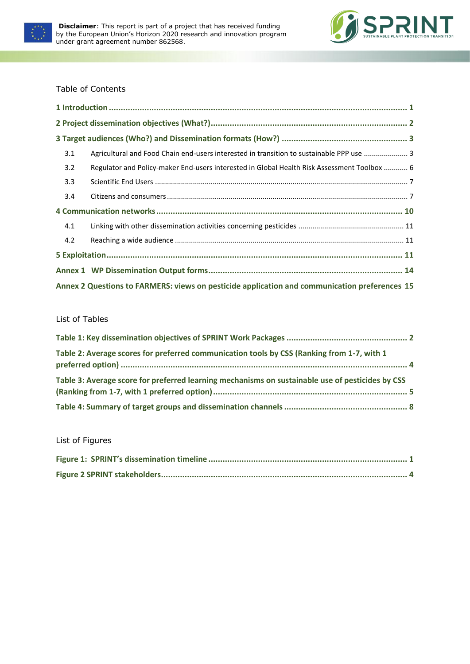



#### Table of Contents

| 3.1                                                                                           | Agricultural and Food Chain end-users interested in transition to sustainable PPP use  3    |  |  |  |  |  |  |
|-----------------------------------------------------------------------------------------------|---------------------------------------------------------------------------------------------|--|--|--|--|--|--|
| 3.2                                                                                           | Regulator and Policy-maker End-users interested in Global Health Risk Assessment Toolbox  6 |  |  |  |  |  |  |
| 3.3                                                                                           |                                                                                             |  |  |  |  |  |  |
| 3.4                                                                                           |                                                                                             |  |  |  |  |  |  |
|                                                                                               |                                                                                             |  |  |  |  |  |  |
| 4.1                                                                                           |                                                                                             |  |  |  |  |  |  |
| 4.2                                                                                           |                                                                                             |  |  |  |  |  |  |
|                                                                                               |                                                                                             |  |  |  |  |  |  |
|                                                                                               |                                                                                             |  |  |  |  |  |  |
| Annex 2 Questions to FARMERS: views on pesticide application and communication preferences 15 |                                                                                             |  |  |  |  |  |  |

#### List of Tables

| Table 2: Average scores for preferred communication tools by CSS (Ranking from 1-7, with 1       |  |
|--------------------------------------------------------------------------------------------------|--|
| Table 3: Average score for preferred learning mechanisms on sustainable use of pesticides by CSS |  |
|                                                                                                  |  |

#### List of Figures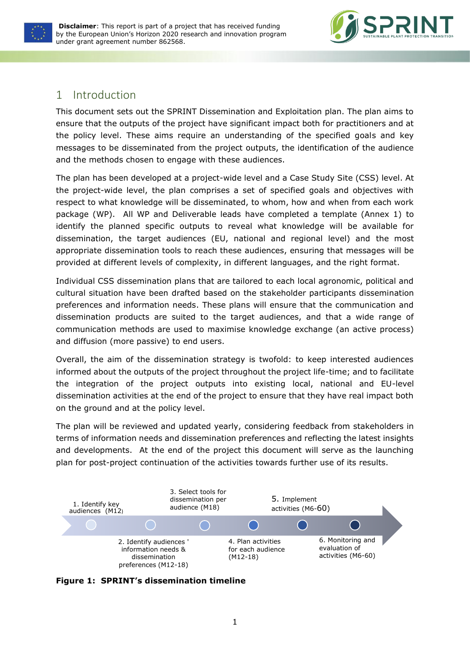



## <span id="page-3-0"></span>1 Introduction

This document sets out the SPRINT Dissemination and Exploitation plan. The plan aims to ensure that the outputs of the project have significant impact both for practitioners and at the policy level. These aims require an understanding of the specified goals and key messages to be disseminated from the project outputs, the identification of the audience and the methods chosen to engage with these audiences.

The plan has been developed at a project-wide level and a Case Study Site (CSS) level. At the project-wide level, the plan comprises a set of specified goals and objectives with respect to what knowledge will be disseminated, to whom, how and when from each work package (WP). All WP and Deliverable leads have completed a template (Annex 1) to identify the planned specific outputs to reveal what knowledge will be available for dissemination, the target audiences (EU, national and regional level) and the most appropriate dissemination tools to reach these audiences, ensuring that messages will be provided at different levels of complexity, in different languages, and the right format.

Individual CSS dissemination plans that are tailored to each local agronomic, political and cultural situation have been drafted based on the stakeholder participants dissemination preferences and information needs. These plans will ensure that the communication and dissemination products are suited to the target audiences, and that a wide range of communication methods are used to maximise knowledge exchange (an active process) and diffusion (more passive) to end users.

Overall, the aim of the dissemination strategy is twofold: to keep interested audiences informed about the outputs of the project throughout the project life-time; and to facilitate the integration of the project outputs into existing local, national and EU-level dissemination activities at the end of the project to ensure that they have real impact both on the ground and at the policy level.

The plan will be reviewed and updated yearly, considering feedback from stakeholders in terms of information needs and dissemination preferences and reflecting the latest insights and developments. At the end of the project this document will serve as the launching plan for post-project continuation of the activities towards further use of its results.



<span id="page-3-1"></span>**Figure 1: SPRINT's dissemination timeline**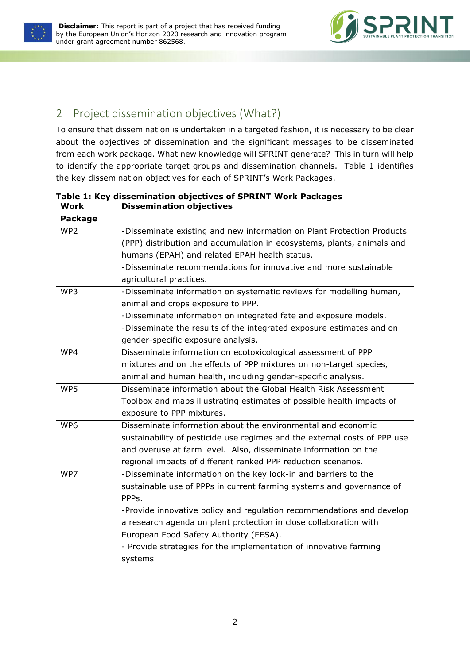



## <span id="page-4-0"></span>2 Project dissemination objectives (What?)

To ensure that dissemination is undertaken in a targeted fashion, it is necessary to be clear about the objectives of dissemination and the significant messages to be disseminated from each work package. What new knowledge will SPRINT generate? This in turn will help to identify the appropriate target groups and dissemination channels. Table 1 identifies the key dissemination objectives for each of SPRINT's Work Packages.

| Work            | <b>Dissemination objectives</b>                                           |
|-----------------|---------------------------------------------------------------------------|
| <b>Package</b>  |                                                                           |
| WP <sub>2</sub> | -Disseminate existing and new information on Plant Protection Products    |
|                 | (PPP) distribution and accumulation in ecosystems, plants, animals and    |
|                 | humans (EPAH) and related EPAH health status.                             |
|                 | -Disseminate recommendations for innovative and more sustainable          |
|                 | agricultural practices.                                                   |
| WP3             | -Disseminate information on systematic reviews for modelling human,       |
|                 | animal and crops exposure to PPP.                                         |
|                 | -Disseminate information on integrated fate and exposure models.          |
|                 | -Disseminate the results of the integrated exposure estimates and on      |
|                 | gender-specific exposure analysis.                                        |
| WP4             | Disseminate information on ecotoxicological assessment of PPP             |
|                 | mixtures and on the effects of PPP mixtures on non-target species,        |
|                 | animal and human health, including gender-specific analysis.              |
| WP5             | Disseminate information about the Global Health Risk Assessment           |
|                 | Toolbox and maps illustrating estimates of possible health impacts of     |
|                 | exposure to PPP mixtures.                                                 |
| WP6             | Disseminate information about the environmental and economic              |
|                 | sustainability of pesticide use regimes and the external costs of PPP use |
|                 | and overuse at farm level. Also, disseminate information on the           |
|                 | regional impacts of different ranked PPP reduction scenarios.             |
| WP7             | -Disseminate information on the key lock-in and barriers to the           |
|                 | sustainable use of PPPs in current farming systems and governance of      |
|                 | PPP <sub>S</sub> .                                                        |
|                 | -Provide innovative policy and regulation recommendations and develop     |
|                 | a research agenda on plant protection in close collaboration with         |
|                 | European Food Safety Authority (EFSA).                                    |
|                 | - Provide strategies for the implementation of innovative farming         |
|                 | systems                                                                   |

## <span id="page-4-1"></span>**Table 1: Key dissemination objectives of SPRINT Work Packages**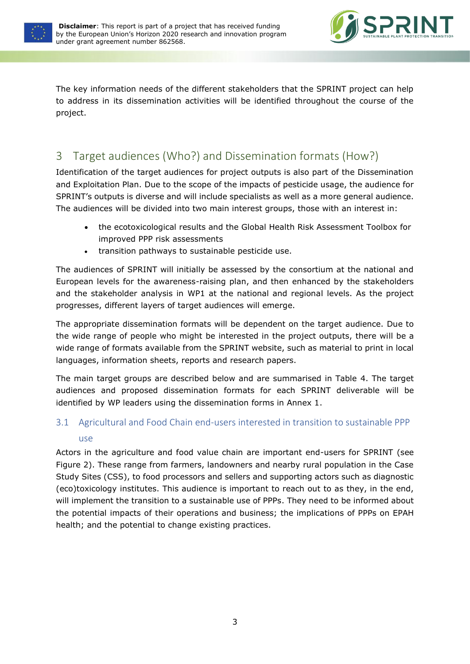



The key information needs of the different stakeholders that the SPRINT project can help to address in its dissemination activities will be identified throughout the course of the project.

## <span id="page-5-0"></span>3 Target audiences (Who?) and Dissemination formats (How?)

Identification of the target audiences for project outputs is also part of the Dissemination and Exploitation Plan. Due to the scope of the impacts of pesticide usage, the audience for SPRINT's outputs is diverse and will include specialists as well as a more general audience. The audiences will be divided into two main interest groups, those with an interest in:

- the ecotoxicological results and the Global Health Risk Assessment Toolbox for improved PPP risk assessments
- transition pathways to sustainable pesticide use.

The audiences of SPRINT will initially be assessed by the consortium at the national and European levels for the awareness-raising plan, and then enhanced by the stakeholders and the stakeholder analysis in WP1 at the national and regional levels. As the project progresses, different layers of target audiences will emerge.

The appropriate dissemination formats will be dependent on the target audience. Due to the wide range of people who might be interested in the project outputs, there will be a wide range of formats available from the SPRINT website, such as material to print in local languages, information sheets, reports and research papers.

The main target groups are described below and are summarised in Table 4. The target audiences and proposed dissemination formats for each SPRINT deliverable will be identified by WP leaders using the dissemination forms in Annex 1.

## <span id="page-5-1"></span>3.1 Agricultural and Food Chain end-users interested in transition to sustainable PPP use

Actors in the agriculture and food value chain are important end-users for SPRINT (see Figure 2). These range from farmers, landowners and nearby rural population in the Case Study Sites (CSS), to food processors and sellers and supporting actors such as diagnostic (eco)toxicology institutes. This audience is important to reach out to as they, in the end, will implement the transition to a sustainable use of PPPs. They need to be informed about the potential impacts of their operations and business; the implications of PPPs on EPAH health; and the potential to change existing practices.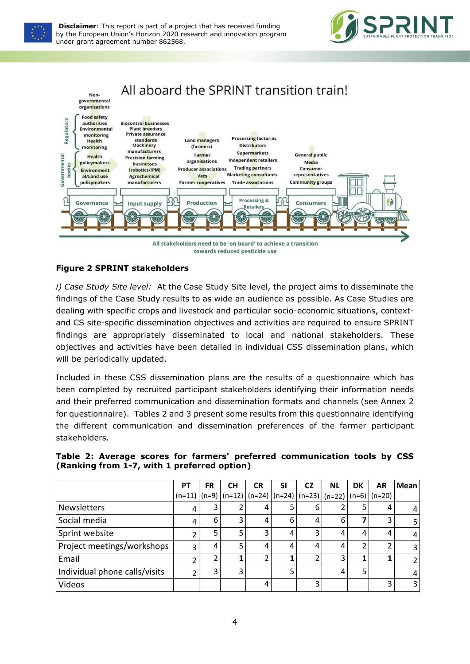





#### <span id="page-6-1"></span>**Figure 2 SPRINT stakeholders**

*i) Case Study Site level:* At the Case Study Site level, the project aims to disseminate the findings of the Case Study results to as wide an audience as possible. As Case Studies are dealing with specific crops and livestock and particular socio-economic situations, contextand CS site-specific dissemination objectives and activities are required to ensure SPRINT findings are appropriately disseminated to local and national stakeholders. These objectives and activities have been detailed in individual CSS dissemination plans, which will be periodically updated.

Included in these CSS dissemination plans are the results of a questionnaire which has been completed by recruited participant stakeholders identifying their information needs and their preferred communication and dissemination formats and channels (see Annex 2 for questionnaire). Tables 2 and 3 present some results from this questionnaire identifying the different communication and dissemination preferences of the farmer participant stakeholders.

<span id="page-6-0"></span>

|  |  |                                             | Table 2: Average scores for farmers' preferred communication tools by CSS |  |  |
|--|--|---------------------------------------------|---------------------------------------------------------------------------|--|--|
|  |  | (Ranking from 1-7, with 1 preferred option) |                                                                           |  |  |

|                               | <b>PT</b> | <b>FR</b> | <b>CH</b> | <b>CR</b> | <b>SI</b> | <b>CZ</b>                                                                      | <b>NL</b> | DK | AR | Mean           |
|-------------------------------|-----------|-----------|-----------|-----------|-----------|--------------------------------------------------------------------------------|-----------|----|----|----------------|
|                               |           |           |           |           |           | $(n=11)$ $(n=9)$ $(n=12)$ $(n=24)$ $(n=24)$ $(n=23)$ $(n=22)$ $(n=6)$ $(n=20)$ |           |    |    |                |
| <b>Newsletters</b>            | 4         |           |           |           |           | 6                                                                              |           |    |    | 4              |
| Social media                  | 4         | 6         | 3         |           | 6         | 4                                                                              | 6         |    | 3  | 5              |
| Sprint website                | 2         |           | 5         | 3         | 4         |                                                                                | 4         | 4  | 4  | 4              |
| Project meetings/workshops    | 3         | 4         | 5         |           | 4         | 4                                                                              | 4         |    |    | 3              |
| Email                         |           |           |           |           |           |                                                                                | ∍         |    |    | $\overline{2}$ |
| Individual phone calls/visits | ำ         |           | 3         |           | 5         |                                                                                | 4         | c  |    | 4              |
| Videos                        |           |           |           |           |           |                                                                                |           |    |    | 3              |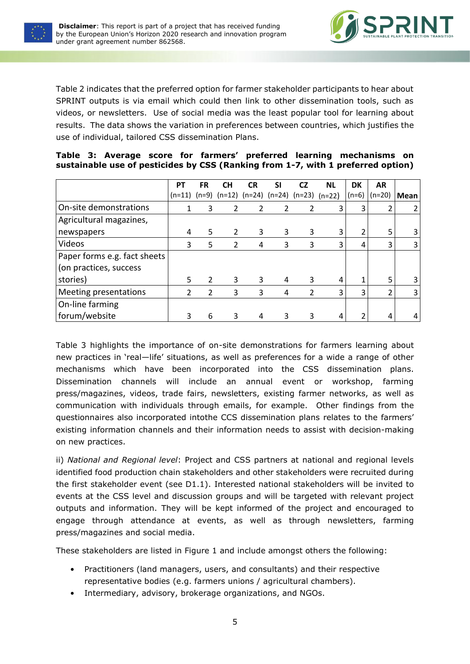



Table 2 indicates that the preferred option for farmer stakeholder participants to hear about SPRINT outputs is via email which could then link to other dissemination tools, such as videos, or newsletters. Use of social media was the least popular tool for learning about results. The data shows the variation in preferences between countries, which justifies the use of individual, tailored CSS dissemination Plans.

|                              | <b>PT</b> | <b>FR</b>     | <b>CH</b>                                            | <b>CR</b> | SΙ | CZ             | <b>NL</b> | DK      | <b>AR</b> |      |
|------------------------------|-----------|---------------|------------------------------------------------------|-----------|----|----------------|-----------|---------|-----------|------|
|                              | $(n=11)$  |               | $(n=9)$ $(n=12)$ $(n=24)$ $(n=24)$ $(n=23)$ $(n=22)$ |           |    |                |           | $(n=6)$ | (n=20)    | Mean |
| On-site demonstrations       |           | 3             | 2                                                    | 2         | 2  | $\overline{2}$ | 3         | 3       |           | 2    |
| Agricultural magazines,      |           |               |                                                      |           |    |                |           |         |           |      |
| newspapers                   | 4         | 5.            | $\overline{2}$                                       | 3         | 3  | 3              | 3         |         | 5         | 3    |
| Videos                       | 3         | 5             | $\overline{2}$                                       | 4         | 3  | 3              | 3         | 4       | 3         | 3    |
| Paper forms e.g. fact sheets |           |               |                                                      |           |    |                |           |         |           |      |
| (on practices, success       |           |               |                                                      |           |    |                |           |         |           |      |
| stories)                     | 5         | 2             | 3                                                    | 3         | 4  | 3              | 4         |         | 5         | 3    |
| Meeting presentations        | 2         | $\mathcal{P}$ | 3                                                    | 3         | 4  | 2              | 3         | 3       | ำ         | 3    |
| On-line farming              |           |               |                                                      |           |    |                |           |         |           |      |
| forum/website                |           | 6             | 3                                                    | 4         | 3  | 3              | 4         |         | 4         | 4    |

<span id="page-7-0"></span>

|  |  |  |  | Table 3: Average score for farmers' preferred learning mechanisms on             |  |
|--|--|--|--|----------------------------------------------------------------------------------|--|
|  |  |  |  | sustainable use of pesticides by CSS (Ranking from 1-7, with 1 preferred option) |  |

Table 3 highlights the importance of on-site demonstrations for farmers learning about new practices in 'real—life' situations, as well as preferences for a wide a range of other mechanisms which have been incorporated into the CSS dissemination plans. Dissemination channels will include an annual event or workshop, farming press/magazines, videos, trade fairs, newsletters, existing farmer networks, as well as communication with individuals through emails, for example. Other findings from the questionnaires also incorporated intothe CCS dissemination plans relates to the farmers' existing information channels and their information needs to assist with decision-making on new practices.

ii) *National and Regional level*: Project and CSS partners at national and regional levels identified food production chain stakeholders and other stakeholders were recruited during the first stakeholder event (see D1.1). Interested national stakeholders will be invited to events at the CSS level and discussion groups and will be targeted with relevant project outputs and information. They will be kept informed of the project and encouraged to engage through attendance at events, as well as through newsletters, farming press/magazines and social media.

These stakeholders are listed in Figure 1 and include amongst others the following:

- Practitioners (land managers, users, and consultants) and their respective representative bodies (e.g. farmers unions / agricultural chambers).
- Intermediary, advisory, brokerage organizations, and NGOs.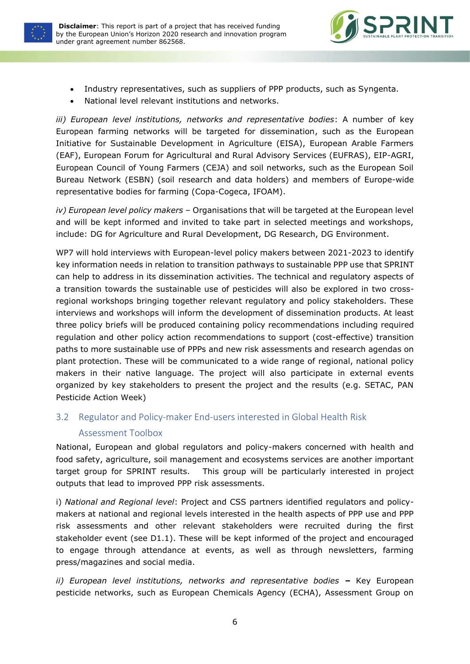



- Industry representatives, such as suppliers of PPP products, such as Syngenta.
- National level relevant institutions and networks.

*iii) European level institutions, networks and representative bodies*: A number of key European farming networks will be targeted for dissemination, such as the European Initiative for Sustainable Development in Agriculture (EISA), European Arable Farmers (EAF), European Forum for Agricultural and Rural Advisory Services (EUFRAS), EIP-AGRI, European Council of Young Farmers (CEJA) and soil networks, such as the European Soil Bureau Network (ESBN) (soil research and data holders) and members of Europe-wide representative bodies for farming (Copa-Cogeca, IFOAM).

*iv) European level policy makers* – Organisations that will be targeted at the European level and will be kept informed and invited to take part in selected meetings and workshops, include: DG for Agriculture and Rural Development, DG Research, DG Environment.

WP7 will hold interviews with European-level policy makers between 2021-2023 to identify key information needs in relation to transition pathways to sustainable PPP use that SPRINT can help to address in its dissemination activities. The technical and regulatory aspects of a transition towards the sustainable use of pesticides will also be explored in two crossregional workshops bringing together relevant regulatory and policy stakeholders. These interviews and workshops will inform the development of dissemination products. At least three policy briefs will be produced containing policy recommendations including required regulation and other policy action recommendations to support (cost-effective) transition paths to more sustainable use of PPPs and new risk assessments and research agendas on plant protection. These will be communicated to a wide range of regional, national policy makers in their native language. The project will also participate in external events organized by key stakeholders to present the project and the results (e.g. SETAC, PAN Pesticide Action Week)

<span id="page-8-0"></span>3.2 Regulator and Policy-maker End-users interested in Global Health Risk

#### Assessment Toolbox

National, European and global regulators and policy-makers concerned with health and food safety, agriculture, soil management and ecosystems services are another important target group for SPRINT results. This group will be particularly interested in project outputs that lead to improved PPP risk assessments.

i) *National and Regional level*: Project and CSS partners identified regulators and policymakers at national and regional levels interested in the health aspects of PPP use and PPP risk assessments and other relevant stakeholders were recruited during the first stakeholder event (see D1.1). These will be kept informed of the project and encouraged to engage through attendance at events, as well as through newsletters, farming press/magazines and social media.

*ii)* European level institutions, networks and representative bodies – Key European pesticide networks, such as European Chemicals Agency (ECHA), Assessment Group on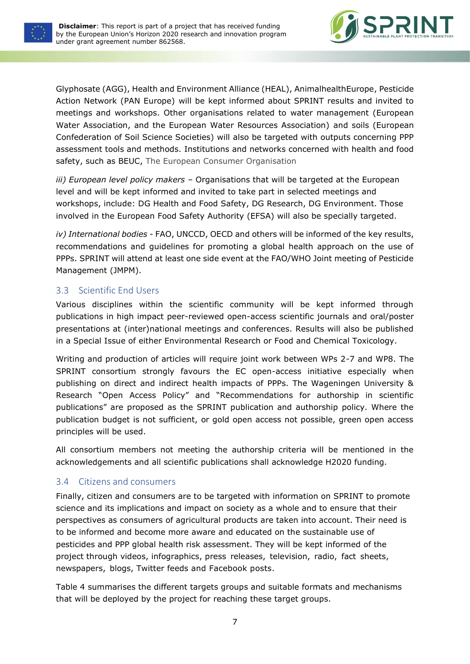



Glyphosate (AGG), Health and Environment Alliance (HEAL), AnimalhealthEurope, Pesticide Action Network (PAN Europe) will be kept informed about SPRINT results and invited to meetings and workshops. Other organisations related to water management (European Water Association, and the European Water Resources Association) and soils (European Confederation of Soil Science Societies) will also be targeted with outputs concerning PPP assessment tools and methods. Institutions and networks concerned with health and food safety, such as BEUC, The European Consumer Organisation

*iii) European level policy makers* – Organisations that will be targeted at the European level and will be kept informed and invited to take part in selected meetings and workshops, include: DG Health and Food Safety, DG Research, DG Environment. Those involved in the European Food Safety Authority (EFSA) will also be specially targeted.

*iv) International bodies* - FAO, UNCCD, OECD and others will be informed of the key results, recommendations and guidelines for promoting a global health approach on the use of PPPs. SPRINT will attend at least one side event at the FAO/WHO Joint meeting of Pesticide Management (JMPM).

#### <span id="page-9-0"></span>3.3 Scientific End Users

Various disciplines within the scientific community will be kept informed through publications in high impact peer-reviewed open-access scientific journals and oral/poster presentations at (inter)national meetings and conferences. Results will also be published in a Special Issue of either Environmental Research or Food and Chemical Toxicology.

Writing and production of articles will require joint work between WPs 2-7 and WP8. The SPRINT consortium strongly favours the EC open-access initiative especially when publishing on direct and indirect health impacts of PPPs. The Wageningen University & Research "Open Access Policy" and "Recommendations for authorship in scientific publications" are proposed as the SPRINT publication and authorship policy. Where the publication budget is not sufficient, or gold open access not possible, green open access principles will be used.

All consortium members not meeting the authorship criteria will be mentioned in the acknowledgements and all scientific publications shall acknowledge H2020 funding.

#### <span id="page-9-1"></span>3.4 Citizens and consumers

Finally, citizen and consumers are to be targeted with information on SPRINT to promote science and its implications and impact on society as a whole and to ensure that their perspectives as consumers of agricultural products are taken into account. Their need is to be informed and become more aware and educated on the sustainable use of pesticides and PPP global health risk assessment. They will be kept informed of the project through videos, infographics, press releases, television, radio, fact sheets, newspapers, blogs, Twitter feeds and Facebook posts.

Table 4 summarises the different targets groups and suitable formats and mechanisms that will be deployed by the project for reaching these target groups.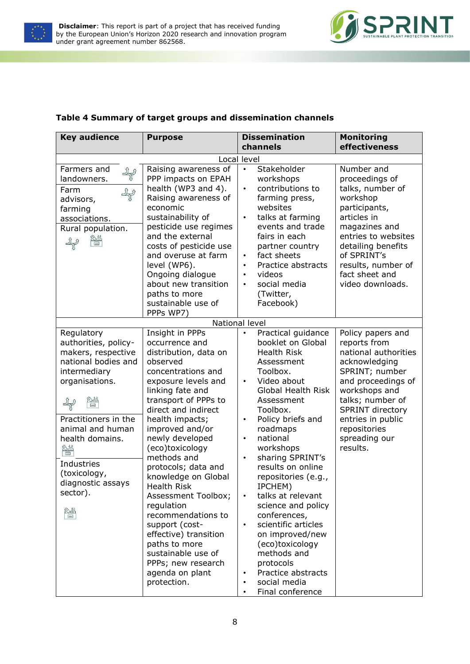



#### <span id="page-10-0"></span>**Table 4 Summary of target groups and dissemination channels**

| <b>Key audience</b>                                                                                                                                                                                                                                        | <b>Purpose</b>                                                                                                                                                                                                                                                                                                                                                                                                                                                                                                                                      | <b>Dissemination</b><br>channels                                                                                                                                                                                                                                                                                                                                                                                                                                                                                                                                                                                                                   | <b>Monitoring</b><br>effectiveness                                                                                                                                                                                                                   |
|------------------------------------------------------------------------------------------------------------------------------------------------------------------------------------------------------------------------------------------------------------|-----------------------------------------------------------------------------------------------------------------------------------------------------------------------------------------------------------------------------------------------------------------------------------------------------------------------------------------------------------------------------------------------------------------------------------------------------------------------------------------------------------------------------------------------------|----------------------------------------------------------------------------------------------------------------------------------------------------------------------------------------------------------------------------------------------------------------------------------------------------------------------------------------------------------------------------------------------------------------------------------------------------------------------------------------------------------------------------------------------------------------------------------------------------------------------------------------------------|------------------------------------------------------------------------------------------------------------------------------------------------------------------------------------------------------------------------------------------------------|
|                                                                                                                                                                                                                                                            |                                                                                                                                                                                                                                                                                                                                                                                                                                                                                                                                                     | Local level                                                                                                                                                                                                                                                                                                                                                                                                                                                                                                                                                                                                                                        |                                                                                                                                                                                                                                                      |
| Farmers and<br>$\mathcal{P}$<br>landowners.<br>Farm<br>advisors,<br>farming<br>associations.<br>Rural population.                                                                                                                                          | Raising awareness of<br>PPP impacts on EPAH<br>health (WP3 and 4).<br>Raising awareness of<br>economic<br>sustainability of<br>pesticide use regimes<br>and the external<br>costs of pesticide use<br>and overuse at farm<br>level (WP6).<br>Ongoing dialogue<br>about new transition<br>paths to more<br>sustainable use of                                                                                                                                                                                                                        | Stakeholder<br>$\bullet$<br>workshops<br>contributions to<br>$\bullet$<br>farming press,<br>websites<br>talks at farming<br>$\bullet$<br>events and trade<br>fairs in each<br>partner country<br>fact sheets<br>$\bullet$<br>Practice abstracts<br>$\bullet$<br>videos<br>$\bullet$<br>social media<br>$\bullet$<br>(Twitter,<br>Facebook)                                                                                                                                                                                                                                                                                                         | Number and<br>proceedings of<br>talks, number of<br>workshop<br>participants,<br>articles in<br>magazines and<br>entries to websites<br>detailing benefits<br>of SPRINT's<br>results, number of<br>fact sheet and<br>video downloads.                |
|                                                                                                                                                                                                                                                            | PPPs WP7)                                                                                                                                                                                                                                                                                                                                                                                                                                                                                                                                           | National level                                                                                                                                                                                                                                                                                                                                                                                                                                                                                                                                                                                                                                     |                                                                                                                                                                                                                                                      |
| Regulatory<br>authorities, policy-<br>makers, respective<br>national bodies and<br>intermediary<br>organisations.<br>Practitioners in the<br>animal and human<br>health domains.<br>≌<br>Industries<br>(toxicology,<br>diagnostic assays<br>sector).<br>≌∰ | Insight in PPPs<br>occurrence and<br>distribution, data on<br>observed<br>concentrations and<br>exposure levels and<br>linking fate and<br>transport of PPPs to<br>direct and indirect<br>health impacts;<br>improved and/or<br>newly developed<br>(eco)toxicology<br>methods and<br>protocols; data and<br>knowledge on Global<br>Health Risk<br>Assessment Toolbox;<br>regulation<br>recommendations to<br>support (cost-<br>effective) transition<br>paths to more<br>sustainable use of<br>PPPs; new research<br>agenda on plant<br>protection. | Practical guidance<br>$\bullet$<br>booklet on Global<br><b>Health Risk</b><br>Assessment<br>Toolbox.<br>Video about<br>$\bullet$<br><b>Global Health Risk</b><br>Assessment<br>Toolbox.<br>Policy briefs and<br>$\bullet$<br>roadmaps<br>national<br>$\bullet$<br>workshops<br>sharing SPRINT's<br>$\bullet$<br>results on online<br>repositories (e.g.,<br>IPCHEM)<br>talks at relevant<br>$\bullet$<br>science and policy<br>conferences,<br>scientific articles<br>$\bullet$<br>on improved/new<br>(eco)toxicology<br>methods and<br>protocols<br>Practice abstracts<br>$\bullet$<br>social media<br>$\bullet$<br>Final conference<br>$\bullet$ | Policy papers and<br>reports from<br>national authorities<br>acknowledging<br>SPRINT; number<br>and proceedings of<br>workshops and<br>talks; number of<br><b>SPRINT directory</b><br>entries in public<br>repositories<br>spreading our<br>results. |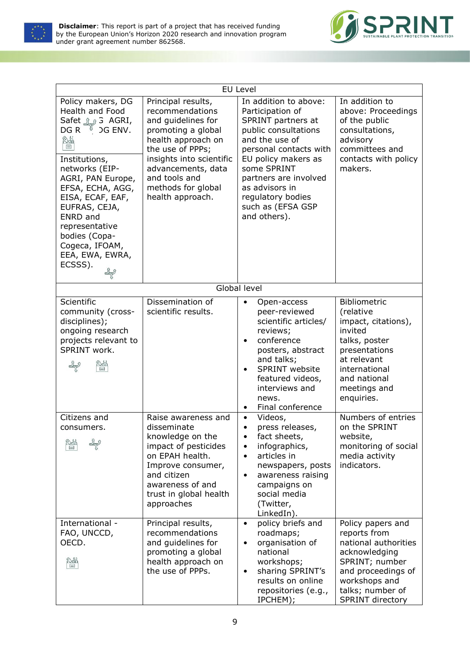



|                                                                                                                                                                                                                                                                                                                                             |                                                                                                                                                                                                                                          | <b>EU Level</b>                                                                                                                                                                                                                                                                    |                                                                                                                                                                             |
|---------------------------------------------------------------------------------------------------------------------------------------------------------------------------------------------------------------------------------------------------------------------------------------------------------------------------------------------|------------------------------------------------------------------------------------------------------------------------------------------------------------------------------------------------------------------------------------------|------------------------------------------------------------------------------------------------------------------------------------------------------------------------------------------------------------------------------------------------------------------------------------|-----------------------------------------------------------------------------------------------------------------------------------------------------------------------------|
| Policy makers, DG<br><b>Health and Food</b><br>,Safet رَبِيْرُ Safet<br>DG R $\sqrt[8]{\ }$ DG ENV.<br>$\frac{1}{2}$<br>Institutions,<br>networks (EIP-<br>AGRI, PAN Europe,<br>EFSA, ECHA, AGG,<br>EISA, ECAF, EAF,<br>EUFRAS, CEJA,<br><b>ENRD</b> and<br>representative<br>bodies (Copa-<br>Cogeca, IFOAM,<br>EEA, EWA, EWRA,<br>ECSSS). | Principal results,<br>recommendations<br>and guidelines for<br>promoting a global<br>health approach on<br>the use of PPPs;<br>insights into scientific<br>advancements, data<br>and tools and<br>methods for global<br>health approach. | In addition to above:<br>Participation of<br>SPRINT partners at<br>public consultations<br>and the use of<br>personal contacts with<br>EU policy makers as<br>some SPRINT<br>partners are involved<br>as advisors in<br>regulatory bodies<br>such as (EFSA GSP<br>and others).     | In addition to<br>above: Proceedings<br>of the public<br>consultations,<br>advisory<br>committees and<br>contacts with policy<br>makers.                                    |
|                                                                                                                                                                                                                                                                                                                                             |                                                                                                                                                                                                                                          | Global level                                                                                                                                                                                                                                                                       |                                                                                                                                                                             |
| Scientific<br>community (cross-<br>disciplines);<br>ongoing research<br>projects relevant to<br>SPRINT work.<br>¥ř                                                                                                                                                                                                                          | Dissemination of<br>scientific results.                                                                                                                                                                                                  | Open-access<br>$\bullet$<br>peer-reviewed<br>scientific articles/<br>reviews;<br>conference<br>$\bullet$<br>posters, abstract<br>and talks;<br>SPRINT website<br>$\bullet$<br>featured videos,<br>interviews and<br>news.<br>Final conference<br>$\bullet$                         | Bibliometric<br>(relative<br>impact, citations),<br>invited<br>talks, poster<br>presentations<br>at relevant<br>international<br>and national<br>meetings and<br>enquiries. |
| Citizens and<br>consumers.<br>≌<br>International -                                                                                                                                                                                                                                                                                          | Raise awareness and<br>disseminate<br>knowledge on the<br>impact of pesticides<br>on EPAH health.<br>Improve consumer,<br>and citizen<br>awareness of and<br>trust in global health<br>approaches<br>Principal results,                  | Videos,<br>$\bullet$<br>press releases,<br>$\bullet$<br>fact sheets,<br>infographics,<br>$\bullet$<br>articles in<br>$\bullet$<br>newspapers, posts<br>awareness raising<br>$\bullet$<br>campaigns on<br>social media<br>(Twitter,<br>LinkedIn).<br>policy briefs and<br>$\bullet$ | Numbers of entries<br>on the SPRINT<br>website,<br>monitoring of social<br>media activity<br>indicators.<br>Policy papers and                                               |
| FAO, UNCCD,<br>OECD.<br>≌                                                                                                                                                                                                                                                                                                                   | recommendations<br>and guidelines for<br>promoting a global<br>health approach on<br>the use of PPPs.                                                                                                                                    | roadmaps;<br>organisation of<br>$\bullet$<br>national<br>workshops;<br>sharing SPRINT's<br>$\bullet$<br>results on online<br>repositories (e.g.,<br>IPCHEM);                                                                                                                       | reports from<br>national authorities<br>acknowledging<br>SPRINT; number<br>and proceedings of<br>workshops and<br>talks; number of<br>SPRINT directory                      |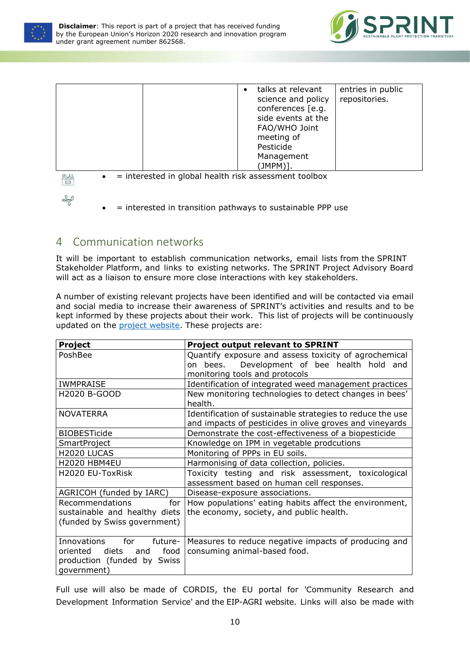



|                                                            | talks at relevant<br>entries in public<br>repositories.<br>science and policy<br>conferences [e.g.<br>side events at the<br>FAO/WHO Joint<br>meeting of<br>Pesticide<br>Management |
|------------------------------------------------------------|------------------------------------------------------------------------------------------------------------------------------------------------------------------------------------|
|                                                            | (JMPM)].                                                                                                                                                                           |
| = interested in global health risk assessment toolbox<br>≌ |                                                                                                                                                                                    |

- $\frac{1}{\sqrt{2}}$
- = interested in transition pathways to sustainable PPP use

### <span id="page-12-0"></span>4 Communication networks

It will be important to establish communication networks, email lists from the SPRINT Stakeholder Platform, and links to existing networks. The SPRINT Project Advisory Board will act as a liaison to ensure more close interactions with key stakeholders.

A number of existing relevant projects have been identified and will be contacted via email and social media to increase their awareness of SPRINT's activities and results and to be kept informed by these projects about their work. This list of projects will be continuously updated on the [project website.](https://www.sprint-h2020.eu/index.php/project-information/related-projects) These projects are:

| Project                                                                     | <b>Project output relevant to SPRINT</b>                          |  |  |
|-----------------------------------------------------------------------------|-------------------------------------------------------------------|--|--|
| PoshBee                                                                     | Quantify exposure and assess toxicity of agrochemical             |  |  |
|                                                                             | Development of bee health hold and<br>bees.<br>on.                |  |  |
|                                                                             | monitoring tools and protocols                                    |  |  |
| <b>IWMPRAISE</b>                                                            | Identification of integrated weed management practices            |  |  |
| <b>H2020 B-GOOD</b>                                                         | New monitoring technologies to detect changes in bees'<br>health. |  |  |
|                                                                             |                                                                   |  |  |
| <b>NOVATERRA</b>                                                            | Identification of sustainable strategies to reduce the use        |  |  |
|                                                                             | and impacts of pesticides in olive groves and vineyards           |  |  |
| Demonstrate the cost-effectiveness of a biopesticide<br><b>BIOBESTicide</b> |                                                                   |  |  |
| Knowledge on IPM in vegetable prodcutions<br><b>SmartProject</b>            |                                                                   |  |  |
| H2020 LUCAS                                                                 | Monitoring of PPPs in EU soils.                                   |  |  |
| H2020 HBM4EU                                                                | Harmonising of data collection, policies.                         |  |  |
| H2020 EU-ToxRisk                                                            | Toxicity testing and risk assessment, toxicological               |  |  |
|                                                                             | assessment based on human cell responses.                         |  |  |
| AGRICOH (funded by IARC)                                                    | Disease-exposure associations.                                    |  |  |
| Recommendations<br>for                                                      | How populations' eating habits affect the environment,            |  |  |
| sustainable and healthy diets                                               | the economy, society, and public health.                          |  |  |
| (funded by Swiss government)                                                |                                                                   |  |  |
|                                                                             |                                                                   |  |  |
| Innovations<br>for<br>future-                                               | Measures to reduce negative impacts of producing and              |  |  |
| food<br>oriented<br>diets<br>and                                            | consuming animal-based food.                                      |  |  |
| production (funded by Swiss                                                 |                                                                   |  |  |
| government)                                                                 |                                                                   |  |  |

Full use will also be made of CORDIS, the EU portal for 'Community Research and Development Information Service' and the EIP-AGRI website. Links will also be made with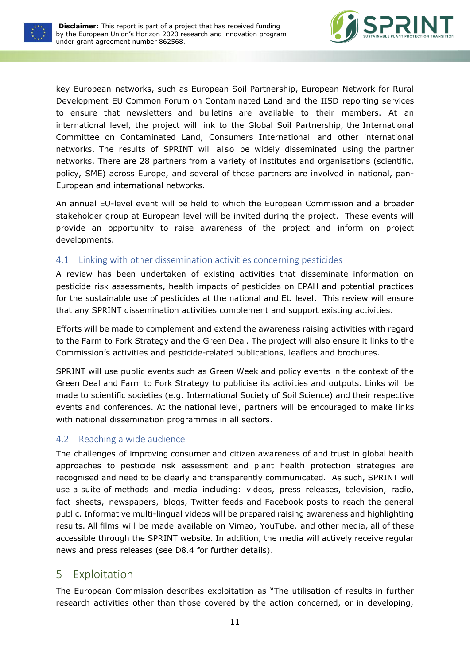



key European networks, such as European Soil Partnership, European Network for Rural Development EU Common Forum on Contaminated Land and the IISD reporting services to ensure that newsletters and bulletins are available to their members. At an international level, the project will link to the Global Soil Partnership, the International Committee on Contaminated Land, Consumers International and other international networks. The results of SPRINT will also be widely disseminated using the partner networks. There are 28 partners from a variety of institutes and organisations (scientific, policy, SME) across Europe, and several of these partners are involved in national, pan-European and international networks.

An annual EU-level event will be held to which the European Commission and a broader stakeholder group at European level will be invited during the project. These events will provide an opportunity to raise awareness of the project and inform on project developments.

#### <span id="page-13-0"></span>4.1 Linking with other dissemination activities concerning pesticides

A review has been undertaken of existing activities that disseminate information on pesticide risk assessments, health impacts of pesticides on EPAH and potential practices for the sustainable use of pesticides at the national and EU level. This review will ensure that any SPRINT dissemination activities complement and support existing activities.

Efforts will be made to complement and extend the awareness raising activities with regard to the Farm to Fork Strategy and the Green Deal. The project will also ensure it links to the Commission's activities and pesticide-related publications, leaflets and brochures.

SPRINT will use public events such as Green Week and policy events in the context of the Green Deal and Farm to Fork Strategy to publicise its activities and outputs. Links will be made to scientific societies (e.g. International Society of Soil Science) and their respective events and conferences. At the national level, partners will be encouraged to make links with national dissemination programmes in all sectors.

#### <span id="page-13-1"></span>4.2 Reaching a wide audience

The challenges of improving consumer and citizen awareness of and trust in global health approaches to pesticide risk assessment and plant health protection strategies are recognised and need to be clearly and transparently communicated. As such, SPRINT will use a suite of methods and media including: videos, press releases, television, radio, fact sheets, newspapers, blogs, Twitter feeds and Facebook posts to reach the general public. Informative multi-lingual videos will be prepared raising awareness and highlighting results. All films will be made available on Vimeo, YouTube, and other media, all of these accessible through the SPRINT website. In addition, the media will actively receive regular news and press releases (see D8.4 for further details).

#### <span id="page-13-2"></span>5 Exploitation

The European Commission describes exploitation as "The utilisation of results in further research activities other than those covered by the action concerned, or in developing,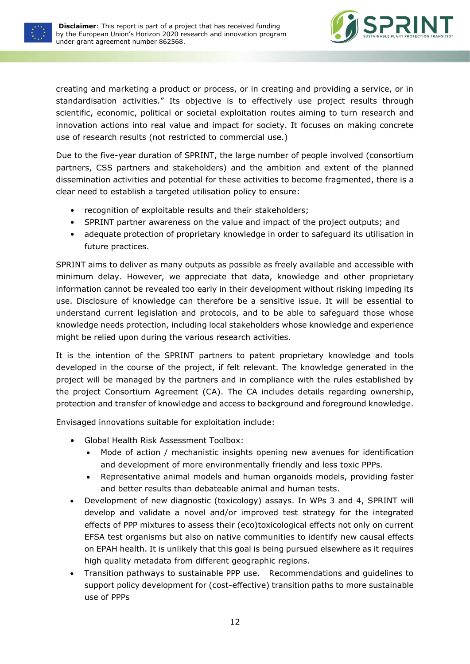



creating and marketing a product or process, or in creating and providing a service, or in standardisation activities." Its objective is to effectively use project results through scientific, economic, political or societal exploitation routes aiming to turn research and innovation actions into real value and impact for society. It focuses on making concrete use of research results (not restricted to commercial use.)

Due to the five-year duration of SPRINT, the large number of people involved (consortium partners, CSS partners and stakeholders) and the ambition and extent of the planned dissemination activities and potential for these activities to become fragmented, there is a clear need to establish a targeted utilisation policy to ensure:

- recognition of exploitable results and their stakeholders;
- SPRINT partner awareness on the value and impact of the project outputs; and
- adequate protection of proprietary knowledge in order to safeguard its utilisation in future practices.

SPRINT aims to deliver as many outputs as possible as freely available and accessible with minimum delay. However, we appreciate that data, knowledge and other proprietary information cannot be revealed too early in their development without risking impeding its use. Disclosure of knowledge can therefore be a sensitive issue. It will be essential to understand current legislation and protocols, and to be able to safeguard those whose knowledge needs protection, including local stakeholders whose knowledge and experience might be relied upon during the various research activities.

It is the intention of the SPRINT partners to patent proprietary knowledge and tools developed in the course of the project, if felt relevant. The knowledge generated in the project will be managed by the partners and in compliance with the rules established by the project Consortium Agreement (CA). The CA includes details regarding ownership, protection and transfer of knowledge and access to background and foreground knowledge.

Envisaged innovations suitable for exploitation include:

- Global Health Risk Assessment Toolbox:
	- Mode of action / mechanistic insights opening new avenues for identification and development of more environmentally friendly and less toxic PPPs.
	- Representative animal models and human organoids models, providing faster and better results than debateable animal and human tests.
- Development of new diagnostic (toxicology) assays. In WPs 3 and 4, SPRINT will develop and validate a novel and/or improved test strategy for the integrated effects of PPP mixtures to assess their (eco)toxicological effects not only on current EFSA test organisms but also on native communities to identify new causal effects on EPAH health. It is unlikely that this goal is being pursued elsewhere as it requires high quality metadata from different geographic regions.
- Transition pathways to sustainable PPP use. Recommendations and guidelines to support policy development for (cost-effective) transition paths to more sustainable use of PPPs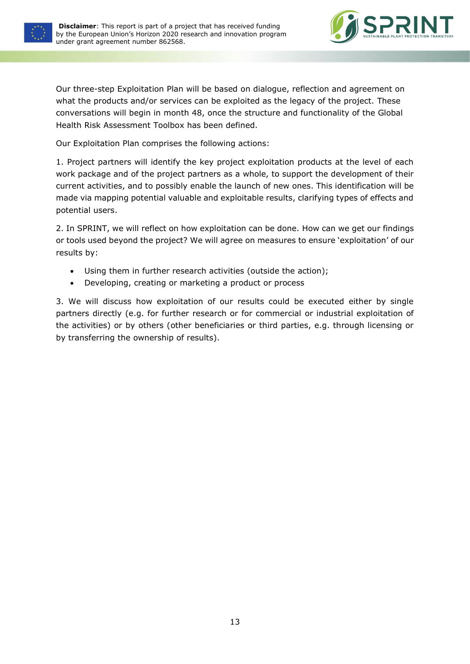



Our three-step Exploitation Plan will be based on dialogue, reflection and agreement on what the products and/or services can be exploited as the legacy of the project. These conversations will begin in month 48, once the structure and functionality of the Global Health Risk Assessment Toolbox has been defined.

Our Exploitation Plan comprises the following actions:

1. Project partners will identify the key project exploitation products at the level of each work package and of the project partners as a whole, to support the development of their current activities, and to possibly enable the launch of new ones. This identification will be made via mapping potential valuable and exploitable results, clarifying types of effects and potential users.

2. In SPRINT, we will reflect on how exploitation can be done. How can we get our findings or tools used beyond the project? We will agree on measures to ensure 'exploitation' of our results by:

- Using them in further research activities (outside the action);
- Developing, creating or marketing a product or process

<span id="page-15-0"></span>3. We will discuss how exploitation of our results could be executed either by single partners directly (e.g. for further research or for commercial or industrial exploitation of the activities) or by others (other beneficiaries or third parties, e.g. through licensing or by transferring the ownership of results).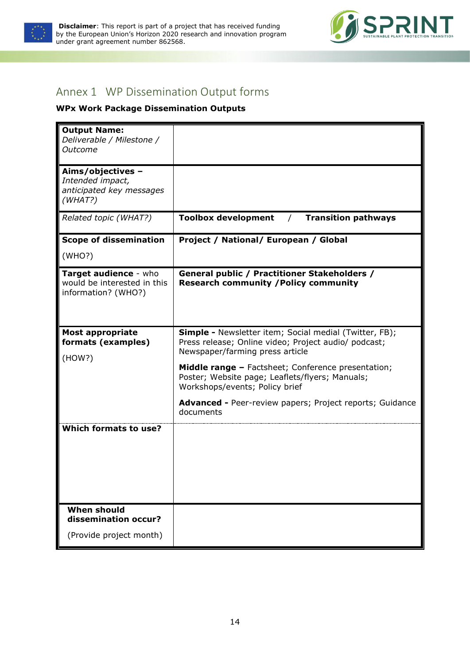

**Disclaimer**: This report is part of a project that has received funding by the European Union's Horizon 2020 research and innovation program under grant agreement number 862568.



## Annex 1 WP Dissemination Output forms

#### **WPx Work Package Dissemination Outputs**

| <b>Output Name:</b><br>Deliverable / Milestone /<br>Outcome                  |                                                                                                                                                          |
|------------------------------------------------------------------------------|----------------------------------------------------------------------------------------------------------------------------------------------------------|
| Aims/objectives -<br>Intended impact,<br>anticipated key messages<br>(WHAT?) |                                                                                                                                                          |
| Related topic (WHAT?)                                                        | <b>Toolbox development</b><br><b>Transition pathways</b><br>$\sqrt{2}$                                                                                   |
| <b>Scope of dissemination</b>                                                | Project / National/ European / Global                                                                                                                    |
| (WHO?)                                                                       |                                                                                                                                                          |
| Target audience - who<br>would be interested in this<br>information? (WHO?)  | General public / Practitioner Stakeholders /<br><b>Research community / Policy community</b>                                                             |
| <b>Most appropriate</b><br>formats (examples)<br>(HOW?)                      | <b>Simple -</b> Newsletter item; Social medial (Twitter, FB);<br>Press release; Online video; Project audio/ podcast;<br>Newspaper/farming press article |
|                                                                              | <b>Middle range - Factsheet; Conference presentation;</b><br>Poster; Website page; Leaflets/flyers; Manuals;<br>Workshops/events; Policy brief           |
|                                                                              | <b>Advanced - Peer-review papers; Project reports; Guidance</b><br>documents                                                                             |
| <b>Which formats to use?</b>                                                 |                                                                                                                                                          |
| <b>When should</b><br>dissemination occur?                                   |                                                                                                                                                          |
| (Provide project month)                                                      |                                                                                                                                                          |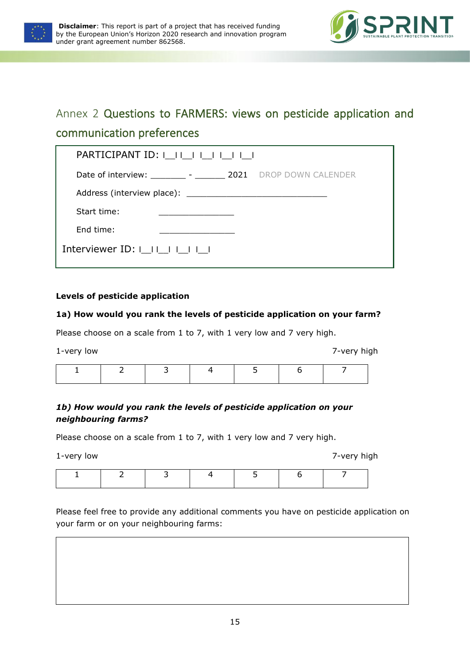



## <span id="page-17-0"></span>Annex 2 Questions to FARMERS: views on pesticide application and communication preferences

| PARTICIPANT ID:                                                                                                                                                                                                                |  |
|--------------------------------------------------------------------------------------------------------------------------------------------------------------------------------------------------------------------------------|--|
| Date of interview: __________ - ________ 2021 DROP DOWN CALENDER                                                                                                                                                               |  |
| Address (interview place): Note and the matter of the state of the state of the state of the state of the state of the state of the state of the state of the state of the state of the state of the state of the state of the |  |
| Start time:                                                                                                                                                                                                                    |  |
| End time:                                                                                                                                                                                                                      |  |
| Interviewer ID: $ $ $ $ $ $ $ $ $ $ $ $ $ $ $ $ $ $                                                                                                                                                                            |  |

#### **Levels of pesticide application**

#### **1a) How would you rank the levels of pesticide application on your farm?**

Please choose on a scale from 1 to 7, with 1 very low and 7 very high.

1-very low 7-very high 1 2 3 4 5 6 7

#### *1b) How would you rank the levels of pesticide application on your neighbouring farms?*

Please choose on a scale from 1 to 7, with 1 very low and 7 very high.

1-very low 7-very high

| ∽ |  | - |  |
|---|--|---|--|
|   |  |   |  |
|   |  |   |  |

Please feel free to provide any additional comments you have on pesticide application on your farm or on your neighbouring farms: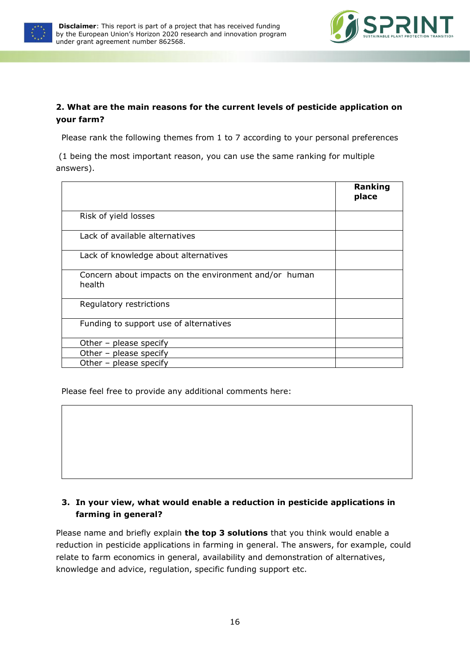



#### **2. What are the main reasons for the current levels of pesticide application on your farm?**

Please rank the following themes from 1 to 7 according to your personal preferences

(1 being the most important reason, you can use the same ranking for multiple answers).

|                                                                 | Ranking<br>place |
|-----------------------------------------------------------------|------------------|
| Risk of yield losses                                            |                  |
| Lack of available alternatives                                  |                  |
| Lack of knowledge about alternatives                            |                  |
| Concern about impacts on the environment and/or human<br>health |                  |
| Regulatory restrictions                                         |                  |
| Funding to support use of alternatives                          |                  |
| Other - please specify                                          |                  |
| Other - please specify                                          |                  |
| Other - please specify                                          |                  |

Please feel free to provide any additional comments here:

#### **3. In your view, what would enable a reduction in pesticide applications in farming in general?**

Please name and briefly explain **the top 3 solutions** that you think would enable a reduction in pesticide applications in farming in general. The answers, for example, could relate to farm economics in general, availability and demonstration of alternatives, knowledge and advice, regulation, specific funding support etc.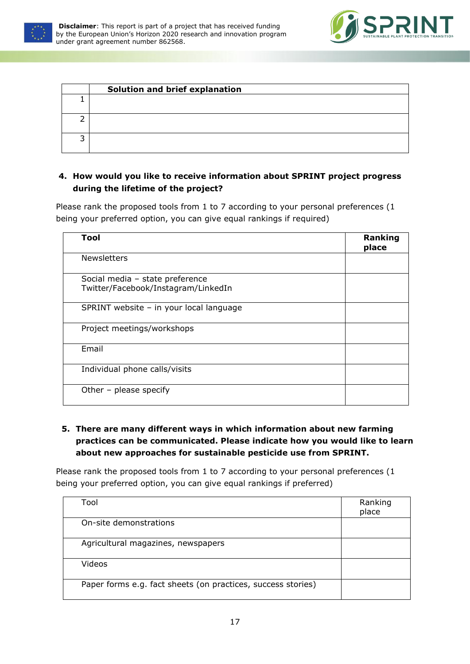



| Solution and brief explanation |
|--------------------------------|
|                                |
|                                |
|                                |

#### **4. How would you like to receive information about SPRINT project progress during the lifetime of the project?**

Please rank the proposed tools from 1 to 7 according to your personal preferences (1 being your preferred option, you can give equal rankings if required)

| Tool                                                                   | Ranking<br>place |
|------------------------------------------------------------------------|------------------|
| <b>Newsletters</b>                                                     |                  |
| Social media - state preference<br>Twitter/Facebook/Instagram/LinkedIn |                  |
| SPRINT website - in your local language                                |                  |
| Project meetings/workshops                                             |                  |
| Email                                                                  |                  |
| Individual phone calls/visits                                          |                  |
| Other - please specify                                                 |                  |

**5. There are many different ways in which information about new farming practices can be communicated. Please indicate how you would like to learn about new approaches for sustainable pesticide use from SPRINT.** 

Please rank the proposed tools from 1 to 7 according to your personal preferences (1 being your preferred option, you can give equal rankings if preferred)

| Tool                                                         | Ranking<br>place |
|--------------------------------------------------------------|------------------|
| On-site demonstrations                                       |                  |
| Agricultural magazines, newspapers                           |                  |
| Videos                                                       |                  |
| Paper forms e.g. fact sheets (on practices, success stories) |                  |